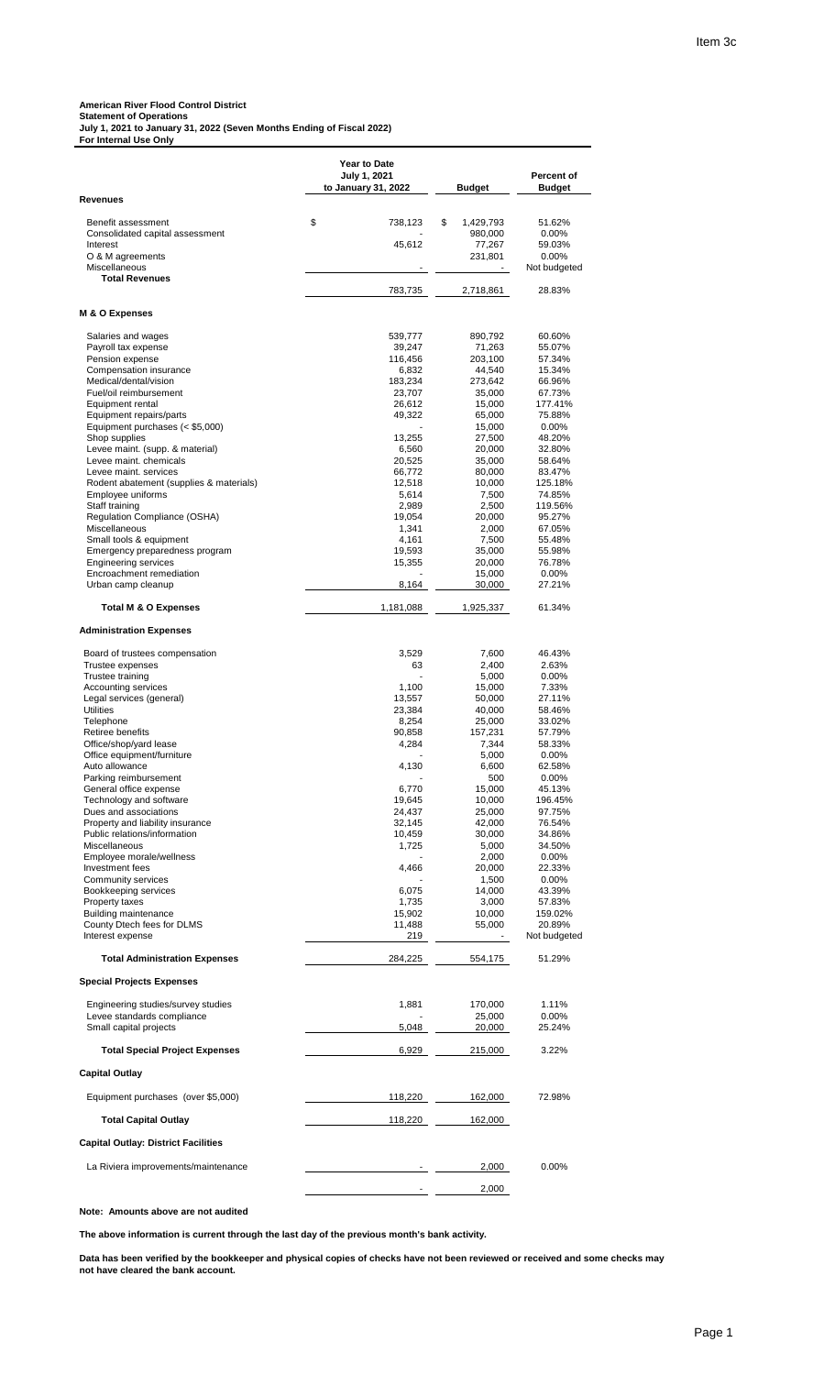## **American River Flood Control District**

**For Internal Use Only**

**Statement of Operations July 1, 2021 to January 31, 2022 (Seven Months Ending of Fiscal 2022)**

|                                                           | <b>Year to Date</b><br>July 1, 2021 |                   | <b>Percent of</b>  |
|-----------------------------------------------------------|-------------------------------------|-------------------|--------------------|
| <b>Revenues</b>                                           | to January 31, 2022                 | <b>Budget</b>     | <b>Budget</b>      |
| Benefit assessment                                        | \$<br>738,123                       | \$<br>1,429,793   | 51.62%             |
| Consolidated capital assessment                           |                                     | 980,000           | 0.00%              |
| Interest<br>O & M agreements                              | 45,612                              | 77,267<br>231,801 | 59.03%<br>0.00%    |
| Miscellaneous                                             |                                     |                   | Not budgeted       |
| <b>Total Revenues</b>                                     | 783,735                             | 2,718,861         | 28.83%             |
| M & O Expenses                                            |                                     |                   |                    |
| Salaries and wages                                        | 539,777                             | 890,792           | 60.60%             |
| Payroll tax expense                                       | 39,247                              | 71,263            | 55.07%             |
| Pension expense<br>Compensation insurance                 | 116,456<br>6,832                    | 203,100<br>44,540 | 57.34%<br>15.34%   |
| Medical/dental/vision                                     | 183,234                             | 273,642           | 66.96%             |
| Fuel/oil reimbursement                                    | 23,707                              | 35,000            | 67.73%             |
| Equipment rental<br>Equipment repairs/parts               | 26,612<br>49,322                    | 15,000<br>65,000  | 177.41%<br>75.88%  |
| Equipment purchases (< \$5,000)                           |                                     | 15,000            | $0.00\%$           |
| Shop supplies                                             | 13,255                              | 27,500            | 48.20%             |
| Levee maint. (supp. & material)<br>Levee maint. chemicals | 6,560<br>20,525                     | 20,000<br>35,000  | 32.80%<br>58.64%   |
| Levee maint. services                                     | 66,772                              | 80,000            | 83.47%             |
| Rodent abatement (supplies & materials)                   | 12,518                              | 10,000            | 125.18%            |
| Employee uniforms<br>Staff training                       | 5,614<br>2,989                      | 7,500<br>2,500    | 74.85%<br>119.56%  |
| Regulation Compliance (OSHA)                              | 19,054                              | 20,000            | 95.27%             |
| Miscellaneous                                             | 1,341                               | 2,000             | 67.05%             |
| Small tools & equipment<br>Emergency preparedness program | 4,161<br>19,593                     | 7,500<br>35,000   | 55.48%<br>55.98%   |
| <b>Engineering services</b>                               | 15,355                              | 20,000            | 76.78%             |
| Encroachment remediation<br>Urban camp cleanup            | 8,164                               | 15,000<br>30,000  | 0.00%<br>27.21%    |
| <b>Total M &amp; O Expenses</b>                           | 1,181,088                           | 1,925,337         | 61.34%             |
| <b>Administration Expenses</b>                            |                                     |                   |                    |
| Board of trustees compensation                            | 3,529                               | 7,600             | 46.43%             |
| Trustee expenses                                          | 63                                  | 2,400             | 2.63%              |
| Trustee training                                          | ä,                                  | 5,000             | $0.00\%$           |
| Accounting services<br>Legal services (general)           | 1,100<br>13,557                     | 15,000<br>50,000  | 7.33%<br>27.11%    |
| Utilities                                                 | 23,384                              | 40,000            | 58.46%             |
| Telephone<br>Retiree benefits                             | 8,254<br>90,858                     | 25,000<br>157,231 | 33.02%<br>57.79%   |
| Office/shop/yard lease                                    | 4,284                               | 7,344             | 58.33%             |
| Office equipment/furniture                                |                                     | 5,000             | 0.00%              |
| Auto allowance<br>Parking reimbursement                   | 4,130                               | 6,600<br>500      | 62.58%<br>0.00%    |
| General office expense                                    | 6,770                               | 15,000            | 45.13%             |
| Technology and software                                   | 19,645                              | 10,000            | 196.45%            |
| Dues and associations<br>Property and liability insurance | 24,437<br>32,145                    | 25,000<br>42,000  | 97.75%<br>76.54%   |
| Public relations/information                              | 10,459                              | 30,000            | 34.86%             |
| Miscellaneous                                             | 1,725                               | 5,000             | 34.50%             |
| Employee morale/wellness<br>Investment fees               | 4,466                               | 2,000<br>20,000   | $0.00\%$<br>22.33% |
| Community services                                        |                                     | 1,500             | $0.00\%$           |
| Bookkeeping services                                      | 6,075                               | 14,000            | 43.39%             |
| Property taxes<br><b>Building maintenance</b>             | 1,735<br>15,902                     | 3,000<br>10,000   | 57.83%<br>159.02%  |
| County Dtech fees for DLMS                                | 11,488                              | 55,000            | 20.89%             |
| Interest expense                                          | 219                                 |                   | Not budgeted       |
| <b>Total Administration Expenses</b>                      | 284,225                             | 554,175           | 51.29%             |
| <b>Special Projects Expenses</b>                          |                                     |                   |                    |
| Engineering studies/survey studies                        | 1,881                               | 170,000           | 1.11%              |
| Levee standards compliance<br>Small capital projects      | 5,048                               | 25,000<br>20,000  | 0.00%<br>25.24%    |
| <b>Total Special Project Expenses</b>                     | 6,929                               | 215,000           | 3.22%              |
| <b>Capital Outlay</b>                                     |                                     |                   |                    |
| Equipment purchases (over \$5,000)                        | 118,220                             | 162,000           | 72.98%             |
| <b>Total Capital Outlay</b>                               | 118,220                             | 162,000           |                    |
| <b>Capital Outlay: District Facilities</b>                |                                     |                   |                    |
| La Riviera improvements/maintenance                       |                                     | 2,000             | 0.00%              |
|                                                           |                                     |                   |                    |
|                                                           |                                     | 2,000             |                    |

**Note: Amounts above are not audited** 

**The above information is current through the last day of the previous month's bank activity.**

**Data has been verified by the bookkeeper and physical copies of checks have not been reviewed or received and some checks may not have cleared the bank account.**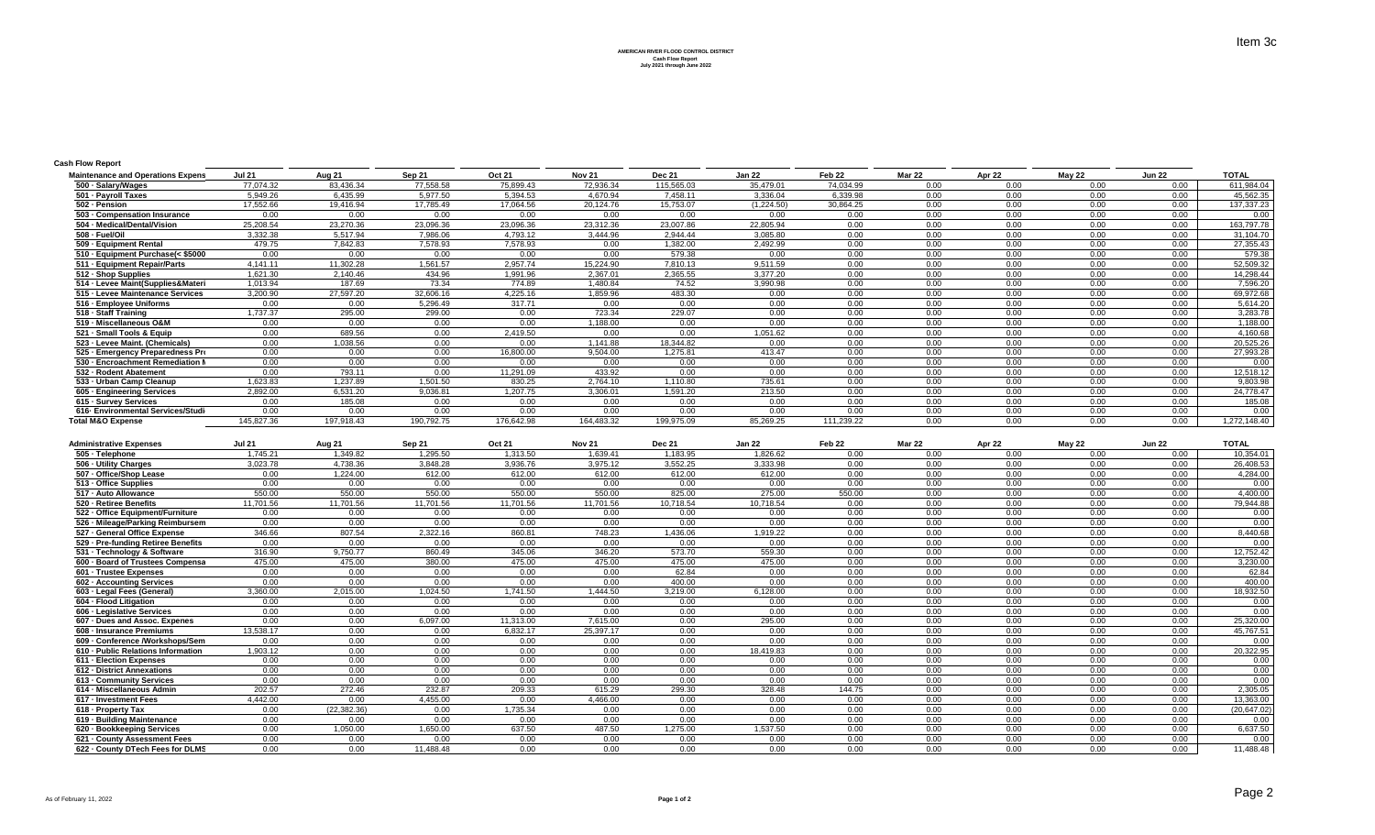**AMERICAN RIVER FLOOD CONTROL DISTRICT Cash Flow Report July 2021 through June 2022**

## **Cash Flow Report**

| Maintenance and Operations Expens | <b>Jul 21</b> | Aug 21     | Sep 21     | Oct 21     | <b>Nov 21</b> | <b>Dec 21</b> | Jan 22     | Feb <sub>22</sub> | Mar 22 | Apr 22 | <b>May 22</b> | <b>Jun 22</b> | <b>TOTAL</b> |
|-----------------------------------|---------------|------------|------------|------------|---------------|---------------|------------|-------------------|--------|--------|---------------|---------------|--------------|
| 500 · Salary/Wages                | 77,074.32     | 83,436.34  | 77,558.58  | 75,899.43  | 72,936.34     | 115,565.03    | 35,479.01  | 74,034.99         | 0.00   | 0.00   | 0.00          | 0.00          | 611,984.04   |
| 501 - Pavroll Taxes               | 5.949.26      | 6.435.99   | 5.977.50   | 5.394.53   | 4.670.94      | 7,458.11      | 3.336.04   | 6.339.98          | 0.00   | 0.00   | 0.00          | 0.00          | 45,562.35    |
| 502 - Pension                     | 17,552.66     | 19,416.94  | 17,785.49  | 17,064.56  | 20,124.76     | 15,753.07     | (1,224.50) | 30,864.25         | 0.00   | 0.00   | 0.00          | 0.00          | 137,337.23   |
| 503 - Compensation Insurance      | 0.00          | 0.00       | 0.00       | 0.00       | 0.00          | 0.00          | 0.00       | 0.00              | 0.00   | 0.00   | 0.00          | 0.00          | 0.00         |
| 504 - Medical/Dental/Vision       | 25,208.54     | 23,270.36  | 23,096.36  | 23,096.36  | 23,312.36     | 23,007.86     | 22,805.94  | 0.00              | 0.00   | 0.00   | 0.00          | 0.00          | 163,797.78   |
| 508 - Fuel/Oil                    | 3,332.38      | 5,517.94   | 7,986.06   | 4,793.12   | 3,444.96      | 2,944.44      | 3,085.80   | 0.00              | 0.00   | 0.00   | 0.00          | 0.00          | 31,104.70    |
| 509 - Equipment Rental            | 479.75        | 7,842.83   | 7,578.93   | 7,578.93   | 0.00          | 1,382.00      | 2,492.99   | 0.00              | 0.00   | 0.00   | 0.00          | 0.00          | 27,355.43    |
| 510 · Equipment Purchase(< \$5000 | 0.00          | 0.00       | 0.00       | 0.00       | 0.00          | 579.38        | 0.00       | 0.00              | 0.00   | 0.00   | 0.00          | 0.00          | 579.38       |
| 511 - Equipment Repair/Parts      | 4.141.11      | 11,302.28  | 1,561.57   | 2.957.74   | 15.224.90     | 7,810.13      | 9.511.59   | 0.00              | 0.00   | 0.00   | 0.00          | 0.00          | 52,509.32    |
| 512 - Shop Supplies               | 1,621.30      | 2,140.46   | 434.96     | 1,991.96   | 2,367.01      | 2,365.55      | 3.377.20   | 0.00              | 0.00   | 0.00   | 0.00          | 0.00          | 14,298.44    |
| 514 - Levee Maint(Supplies&Materi | 1,013.94      | 187.69     | 73.34      | 774.89     | 1,480.84      | 74.52         | 3,990.98   | 0.00              | 0.00   | 0.00   | 0.00          | 0.00          | 7,596.20     |
| 515 - Levee Maintenance Services  | 3.200.90      | 27,597.20  | 32,606.16  | 4.225.16   | 1,859.96      | 483.30        | 0.00       | 0.00              | 0.00   | 0.00   | 0.00          | 0.00          | 69,972.68    |
| 516 - Employee Uniforms           | 0.00          | 0.00       | 5,296.49   | 317.71     | 0.00          | 0.00          | 0.00       | 0.00              | 0.00   | 0.00   | 0.00          | 0.00          | 5,614.20     |
| 518 - Staff Training              | 1,737.37      | 295.00     | 299.00     | 0.00       | 723.34        | 229.07        | 0.00       | 0.00              | 0.00   | 0.00   | 0.00          | 0.00          | 3,283.78     |
| 519 - Miscellaneous O&M           | 0.00          | 0.00       | 0.00       | 0.00       | ,188.00       | 0.00          | 0.00       | 0.00              | 0.00   | 0.00   | 0.00          | 0.00          | 1,188.00     |
| 521 - Small Tools & Equip         | 0.00          | 689.56     | 0.00       | 2,419.50   | 0.00          | 0.00          | 1,051.62   | 0.00              | 0.00   | 0.00   | 0.00          | 0.00          | 4,160.68     |
| 523 - Levee Maint. (Chemicals)    | 0.00          | 1,038.56   | 0.00       | 0.00       | 1,141.88      | 18,344.82     | 0.00       | 0.00              | 0.00   | 0.00   | 0.00          | 0.00          | 20,525.26    |
| 525 - Emergency Preparedness Pro  | 0.00          | 0.00       | 0.00       | 16,800.00  | 9,504.00      | 1,275.81      | 413.47     | 0.00              | 0.00   | 0.00   | 0.00          | 0.00          | 27,993.28    |
| 530 - Encroachment Remediation M  | 0.00          | 0.00       | 0.00       | 0.00       | 0.00          | 0.00          | 0.00       | 0.00              | 0.00   | 0.00   | 0.00          | 0.00          | 0.00         |
| 532 - Rodent Abatement            | 0.00          | 793.11     | 0.00       | 11,291.09  | 433.92        | 0.00          | 0.00       | 0.00              | 0.00   | 0.00   | 0.00          | 0.00          | 12,518.12    |
| 533 - Urban Camp Cleanup          | 1,623.83      | 1,237.89   | 1,501.50   | 830.25     | 2,764.10      | 1,110.80      | 735.61     | 0.00              | 0.00   | 0.00   | 0.00          | 0.00          | 9,803.98     |
| 605 - Engineering Services        | 2.892.00      | 6,531.20   | 9,036.81   | 1,207.75   | 3,306.01      | 1,591.20      | 213.50     | 0.00              | 0.00   | 0.00   | 0.00          | 0.00          | 24,778.47    |
| 615 - Survey Services             | 0.00          | 185.08     | 0.00       | 0.00       | 0.00          | 0.00          | 0.00       | 0.00              | 0.00   | 0.00   | 0.00          | 0.00          | 185.08       |
| 616- Environmental Services/Studi | 0.00          | 0.00       | 0.00       | 0.00       | 0.00          | 0.00          | 0.00       | 0.00              | 0.00   | 0.00   | 0.00          | 0.00          | 0.00         |
| <b>Total M&amp;O Expense</b>      | 145,827.36    | 197,918.43 | 190,792.75 | 176,642.98 | 164,483.32    | 199,975.09    | 85,269.25  | 111,239.22        | 0.00   | 0.00   | 0.00          | 0.00          | 1,272,148.40 |

| <b>Administrative Expenses</b>     | <b>Jul 21</b> | Aug 21        | Sep 21    | <b>Oct 21</b> | <b>Nov 21</b> | <b>Dec 21</b> | <b>Jan 22</b> | Feb <sub>22</sub> | <b>Mar 22</b> | Apr 22 | <b>May 22</b> | <b>Jun 22</b> | <b>TOTAL</b> |
|------------------------------------|---------------|---------------|-----------|---------------|---------------|---------------|---------------|-------------------|---------------|--------|---------------|---------------|--------------|
| 505 - Telephone                    | 1,745.21      | 1,349.82      | 1,295.50  | 1,313.50      | 1,639.41      | 1,183.95      | 1,826.62      | 0.00              | 0.00          | 0.00   | 0.00          | 0.00          | 10,354.01    |
| 506 - Utility Charges              | 3.023.78      | 4.738.36      | 3,848.28  | 3,936.76      | 3.975.12      | 3.552.25      | 3.333.98      | 0.00              | 0.00          | 0.00   | 0.00          | 0.00          | 26,408.53    |
| 507 - Office/Shop Lease            | 0.00          | 1.224.00      | 612.00    | 612.00        | 612.00        | 612.00        | 612.00        | 0.00              | 0.00          | 0.00   | 0.00          | 0.00          | 4,284.00     |
| 513 - Office Supplies              | 0.00          | 0.00          | 0.00      | 0.00          | 0.00          | 0.00          | 0.00          | 0.00              | 0.00          | 0.00   | 0.00          | 0.00          | 0.00         |
| 517 - Auto Allowance               | 550.00        | 550.00        | 550.00    | 550.00        | 550.00        | 825.00        | 275.00        | 550.00            | 0.00          | 0.00   | 0.00          | 0.00          | 4,400.00     |
| 520 - Retiree Benefits             | 11.701.56     | 11.701.56     | 11.701.56 | 11.701.56     | 11.701.56     | 10.718.54     | 10.718.54     | 0.00              | 0.00          | 0.00   | 0.00          | 0.00          | 79.944.88    |
| 522 - Office Equipment/Furniture   | 0.00          | 0.00          | 0.00      | 0.00          | 0.00          | 0.00          | 0.00          | 0.00              | 0.00          | 0.00   | 0.00          | 0.00          | 0.00         |
| 526 - Mileage/Parking Reimbursem   | 0.00          | 0.00          | 0.00      | 0.00          | 0.00          | 0.00          | 0.00          | 0.00              | 0.00          | 0.00   | 0.00          | 0.00          | 0.00         |
| 527 - General Office Expense       | 346.66        | 807.54        | 2.322.16  | 860.81        | 748.23        | 1.436.06      | 1.919.22      | 0.00              | 0.00          | 0.00   | 0.00          | 0.00          | 8,440.68     |
| 529 - Pre-funding Retiree Benefits | 0.00          | 0.00          | 0.00      | 0.00          | 0.00          | 0.00          | 0.00          | 0.00              | 0.00          | 0.00   | 0.00          | 0.00          | 0.00         |
| 531 - Technology & Software        | 316.90        | 9.750.77      | 860.49    | 345.06        | 346.20        | 573.70        | 559.30        | 0.00              | 0.00          | 0.00   | 0.00          | 0.00          | 12.752.42    |
| 600 - Board of Trustees Compensa   | 475.00        | 475.00        | 380.00    | 475.00        | 475.00        | 475.00        | 475.00        | 0.00              | 0.00          | 0.00   | 0.00          | 0.00          | 3,230.00     |
| 601 - Trustee Expenses             | 0.00          | 0.00          | 0.00      | 0.00          | 0.00          | 62.84         | 0.00          | 0.00              | 0.00          | 0.00   | 0.00          | 0.00          | 62.84        |
| 602 - Accounting Services          | 0.00          | 0.00          | 0.00      | 0.00          | 0.00          | 400.00        | 0.00          | 0.00              | 0.00          | 0.00   | 0.00          | 0.00          | 400.00       |
| 603 - Legal Fees (General)         | 3.360.00      | 2.015.00      | 1.024.50  | 1.741.50      | 1.444.50      | 3.219.00      | 6.128.00      | 0.00              | 0.00          | 0.00   | 0.00          | 0.00          | 18,932.50    |
| 604 - Flood Litigation             | 0.00          | 0.00          | 0.00      | 0.00          | 0.00          | 0.00          | 0.00          | 0.00              | 0.00          | 0.00   | 0.00          | 0.00          | 0.00         |
| 606 - Legislative Services         | 0.00          | 0.00          | 0.00      | 0.00          | 0.00          | 0.00          | 0.00          | 0.00              | 0.00          | 0.00   | 0.00          | 0.00          | 0.00         |
| 607 - Dues and Assoc. Expenes      | 0.00          | 0.00          | 6,097.00  | 11,313.00     | 7.615.00      | 0.00          | 295.00        | 0.00              | 0.00          | 0.00   | 0.00          | 0.00          | 25,320.00    |
| 608 - Insurance Premiums           | 13.538.17     | 0.00          | 0.00      | 6.832.17      | 25.397.17     | 0.00          | 0.00          | 0.00              | 0.00          | 0.00   | 0.00          | 0.00          | 45,767.51    |
| 609 - Conference /Workshops/Sem    | 0.00          | 0.00          | 0.00      | 0.00          | 0.00          | 0.00          | 0.00          | 0.00              | 0.00          | 0.00   | 0.00          | 0.00          | 0.00         |
| 610 - Public Relations Information | 1.903.12      | 0.00          | 0.00      | 0.00          | 0.00          | 0.00          | 18,419.83     | 0.00              | 0.00          | 0.00   | 0.00          | 0.00          | 20,322.95    |
| 611 - Election Expenses            | 0.00          | 0.00          | 0.00      | 0.00          | 0.00          | 0.00          | 0.00          | 0.00              | 0.00          | 0.00   | 0.00          | 0.00          | 0.00         |
| 612 - District Annexations         | 0.00          | 0.00          | 0.00      | 0.00          | 0.00          | 0.00          | 0.00          | 0.00              | 0.00          | 0.00   | 0.00          | 0.00          | 0.00         |
| 613 - Community Services           | 0.00          | 0.00          | 0.00      | 0.00          | 0.00          | 0.00          | 0.00          | 0.00              | 0.00          | 0.00   | 0.00          | 0.00          | 0.00         |
| 614 - Miscellaneous Admin          | 202.57        | 272.46        | 232.87    | 209.33        | 615.29        | 299.30        | 328.48        | 144.75            | 0.00          | 0.00   | 0.00          | 0.00          | 2.305.05     |
| 617 - Investment Fees              | 4,442.00      | 0.00          | 4,455.00  | 0.00          | 4,466.00      | 0.00          | 0.00          | 0.00              | 0.00          | 0.00   | 0.00          | 0.00          | 13,363.00    |
| 618 - Property Tax                 | 0.00          | (22, 382, 36) | 0.00      | 1.735.34      | 0.00          | 0.00          | 0.00          | 0.00              | 0.00          | 0.00   | 0.00          | 0.00          | (20, 647.02) |
| 619 - Building Maintenance         | 0.00          | 0.00          | 0.00      | 0.00          | 0.00          | 0.00          | 0.00          | 0.00              | 0.00          | 0.00   | 0.00          | 0.00          | 0.00         |
| 620 - Bookkeeping Services         | 0.00          | 1,050.00      | 1,650.00  | 637.50        | 487.50        | 1,275.00      | 1,537.50      | 0.00              | 0.00          | 0.00   | 0.00          | 0.00          | 6,637.50     |
| 621 - County Assessment Fees       | 0.00          | 0.00          | 0.00      | 0.00          | 0.00          | 0.00          | 0.00          | 0.00              | 0.00          | 0.00   | 0.00          | 0.00          | 0.00         |
| 622 - County DTech Fees for DLMS   | 0.00          | 0.00          | 11.488.48 | 0.00          | 0.00          | 0.00          | 0.00          | 0.00              | 0.00          | 0.00   | 0.00          | 0.00          | 11,488.48    |